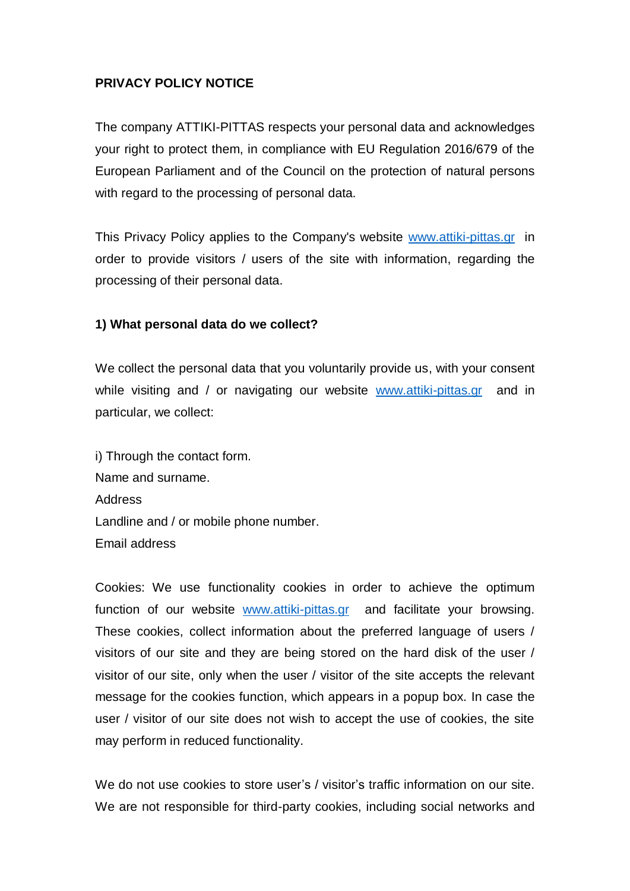## **PRIVACY POLICY NOTICE**

The company ATTIKI-PITTAS respects your personal data and acknowledges your right to protect them, in compliance with EU Regulation 2016/679 of the European Parliament and οf the Council on the protection of natural persons with regard to the processing of personal data.

This Privacy Policy applies to the Company's website [www.attiki-pittas.gr](http://www.attiki-pittas.gr/) in order to provide visitors / users of the site with information, regarding the processing of their personal data.

#### **1) What personal data do we collect?**

We collect the personal data that you voluntarily provide us, with your consent while visiting and / or navigating our website [www.attiki-pittas.gr](http://www.attiki-pittas.gr/) and in particular, we collect:

i) Through the contact form. Name and surname. Address Landline and / or mobile phone number. Email address

Cookies: We use functionality cookies in order to achieve the optimum function of our website [www.attiki-pittas.gr](http://www.attiki-pittas.gr/) and facilitate your browsing. These cookies, collect information about the preferred language of users / visitors of our site and they are being stored on the hard disk of the user / visitor of our site, only when the user / visitor of the site accepts the relevant message for the cookies function, which appears in a popup box. In case the user / visitor of our site does not wish to accept the use of cookies, the site may perform in reduced functionality.

We do not use cookies to store user's / visitor's traffic information on our site. We are not responsible for third-party cookies, including social networks and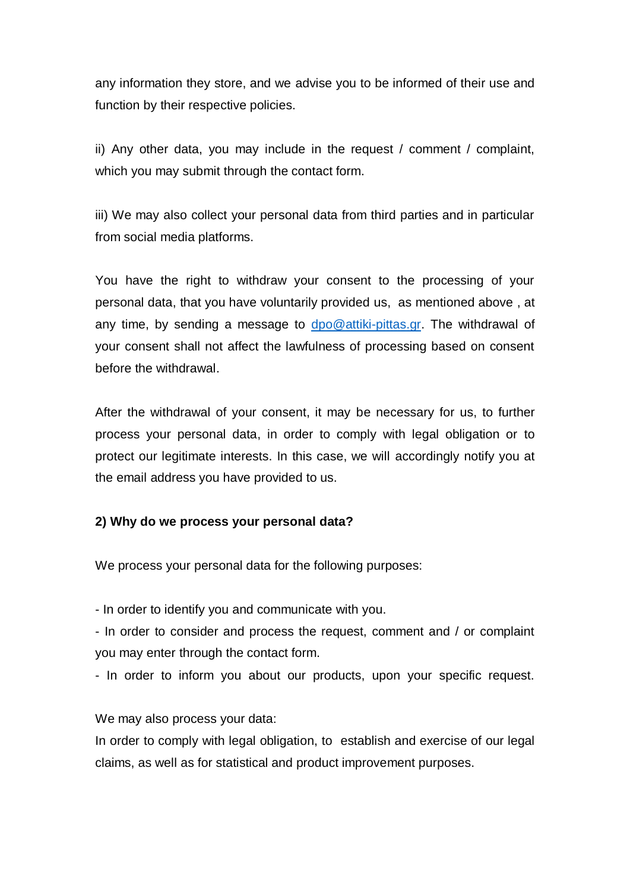any information they store, and we advise you to be informed of their use and function by their respective policies.

ii) Any other data, you may include in the request / comment / complaint, which you may submit through the contact form.

iii) We may also collect your personal data from third parties and in particular from social media platforms.

You have the right to withdraw your consent to the processing of your personal data, that you have voluntarily provided us, as mentioned above , at any time, by sending a message to [dpo@attiki-pittas.gr.](mailto:dpo@attiki-pittas.gr) The withdrawal of your consent shall not affect the lawfulness of processing based on consent before the withdrawal.

After the withdrawal of your consent, it may be necessary for us, to further process your personal data, in order to comply with legal obligation or to protect our legitimate interests. In this case, we will accordingly notify you at the email address you have provided to us.

#### **2) Why do we process your personal data?**

We process your personal data for the following purposes:

- In order to identify you and communicate with you.

- In order to consider and process the request, comment and / or complaint you may enter through the contact form.

- In order to inform you about our products, upon your specific request.

We may also process your data:

In order to comply with legal obligation, to establish and exercise of our legal claims, as well as for statistical and product improvement purposes.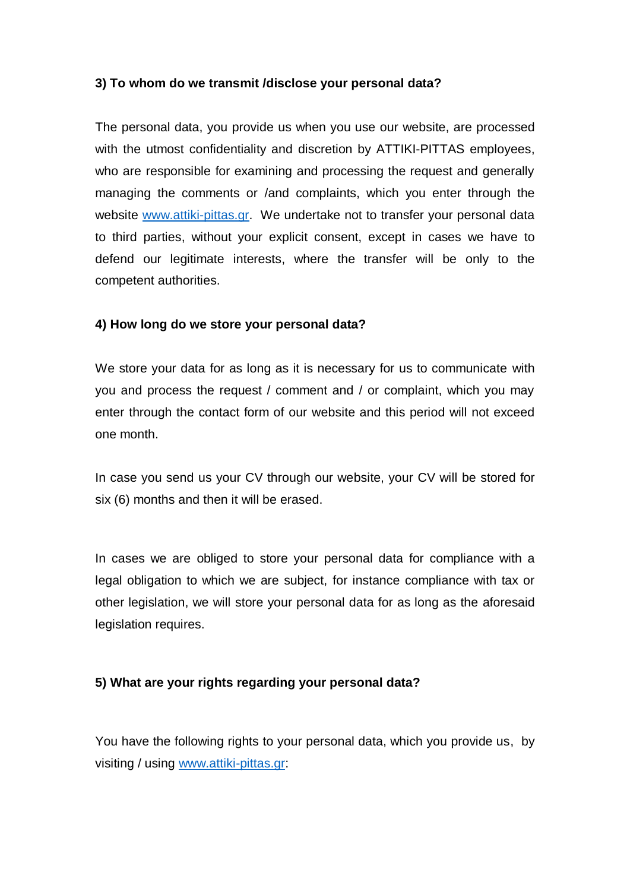#### **3) To whom do we transmit /disclose your personal data?**

The personal data, you provide us when you use our website, are processed with the utmost confidentiality and discretion by ATTIKI-PITTAS employees, who are responsible for examining and processing the request and generally managing the comments or /and complaints, which you enter through the website [www.attiki-pittas.gr.](http://www.attiki-pittas.gr/) We undertake not to transfer your personal data to third parties, without your explicit consent, except in cases we have to defend our legitimate interests, where the transfer will be only to the competent authorities.

#### **4) How long do we store your personal data?**

We store your data for as long as it is necessary for us to communicate with you and process the request / comment and / or complaint, which you may enter through the contact form of our website and this period will not exceed one month.

In case you send us your CV through our website, your CV will be stored for six (6) months and then it will be erased.

In cases we are obliged to store your personal data for compliance with a legal obligation to which we are subject, for instance compliance with tax or other legislation, we will store your personal data for as long as the aforesaid legislation requires.

#### **5) What are your rights regarding your personal data?**

You have the following rights to your personal data, which you provide us, by visiting / using [www.attiki-pittas.gr:](http://www.attiki-pittas.gr/)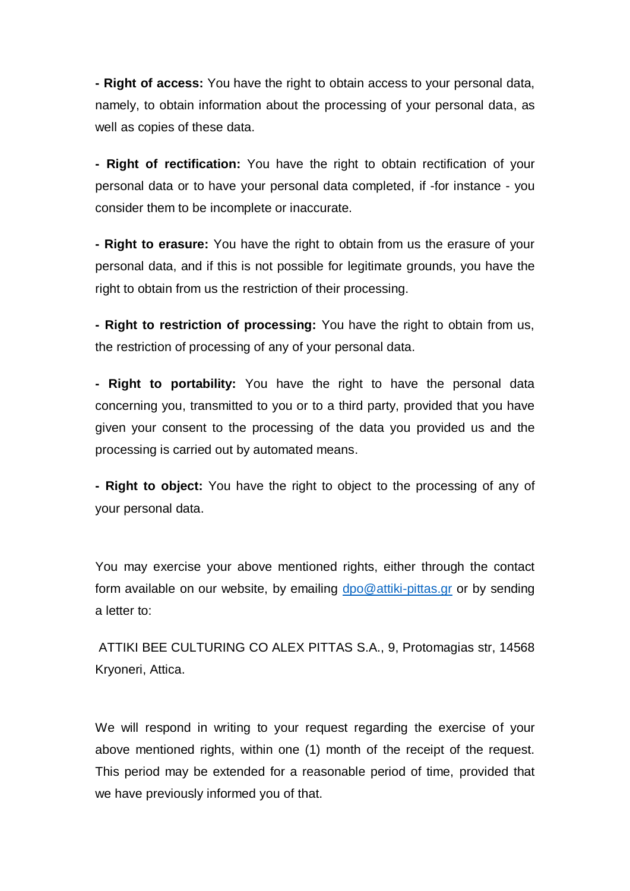**- Right of access:** You have the right to obtain access to your personal data, namely, to obtain information about the processing of your personal data, as well as copies of these data.

**- Right of rectification:** You have the right to obtain rectification of your personal data or to have your personal data completed, if -for instance - you consider them to be incomplete or inaccurate.

**- Right to erasure:** You have the right to obtain from us the erasure of your personal data, and if this is not possible for legitimate grounds, you have the right to obtain from us the restriction of their processing.

**- Right to restriction of processing:** You have the right to obtain from us, the restriction of processing of any of your personal data.

**- Right to portability:** You have the right to have the personal data concerning you, transmitted to you or to a third party, provided that you have given your consent to the processing of the data you provided us and the processing is carried out by automated means.

**- Right to object:** You have the right to object to the processing of any of your personal data.

You may exercise your above mentioned rights, either through the contact form available on our website, by emailing [dpo@attiki-pittas.gr](mailto:dpo@attiki-pittas.gr) or by sending a letter to:

ATTIKI BEE CULTURING CO ALEX PITTAS S.A., 9, Protomagias str, 14568 Kryoneri, Attica.

We will respond in writing to your request regarding the exercise of your above mentioned rights, within one (1) month of the receipt of the request. This period may be extended for a reasonable period of time, provided that we have previously informed you of that.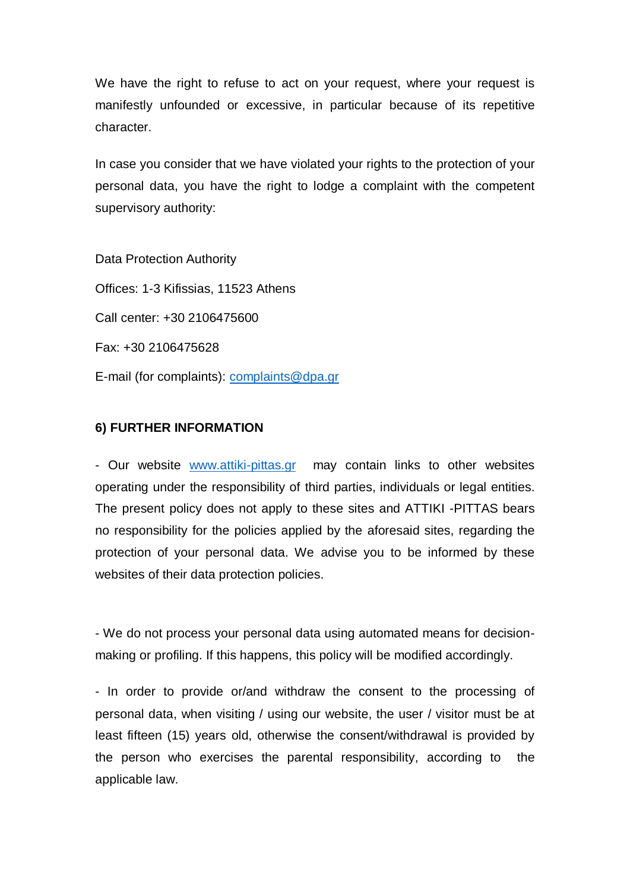We have the right to refuse to act on your request, where your request is manifestly unfounded or excessive, in particular because of its repetitive character.

In case you consider that we have violated your rights to the protection of your personal data, you have the right to lodge a complaint with the competent supervisory authority:

Data Protection Authority Offices: 1-3 Kifissias, 11523 Athens Call center: +30 2106475600 Fax: +30 2106475628 E-mail (for complaints): [complaints@dpa.gr](mailto:complaints@dpa.gr)

### **6) FURTHER INFORMATION**

- Our website [www.attiki-pittas.gr](http://www.attiki-pittas.gr/) may contain links to other websites operating under the responsibility of third parties, individuals or legal entities. The present policy does not apply to these sites and ATTIKI -PITTAS bears no responsibility for the policies applied by the aforesaid sites, regarding the protection of your personal data. We advise you to be informed by these websites of their data protection policies.

- We do not process your personal data using automated means for decisionmaking or profiling. If this happens, this policy will be modified accordingly.

- In order to provide or/and withdraw the consent to the processing of personal data, when visiting / using our website, the user / visitor must be at least fifteen (15) years old, otherwise the consent/withdrawal is provided by the person who exercises the parental responsibility, according to the applicable law.